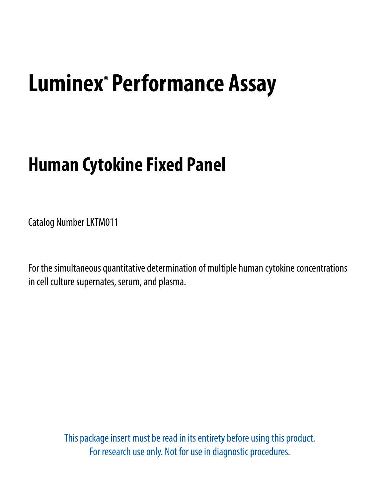# **Luminex® Performance Assay**

## **Human Cytokine Fixed Panel**

Catalog Number LKTM011

For the simultaneous quantitative determination of multiple human cytokine concentrations in cell culture supernates, serum, and plasma.

> This package insert must be read in its entirety before using this product. For research use only. Not for use in diagnostic procedures.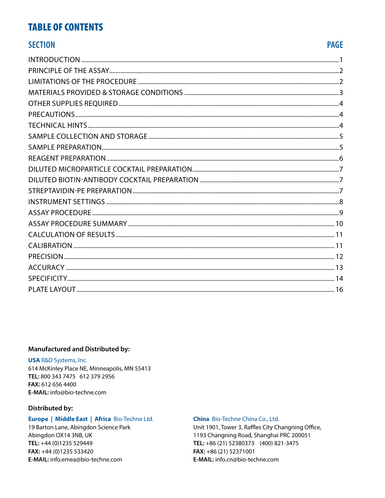#### **TABLE OF CONTENTS**

#### **SECTION**

#### **PAGE**

#### **Manufactured and Distributed by:**

**USA R&D Systems, Inc.** 614 McKinley Place NE, Minneapolis, MN 55413 TEL: 800 343 7475 612 379 2956 FAX: 612 656 4400 E-MAIL: info@bio-techne.com

#### **Distributed by:**

#### Europe | Middle East | Africa Bio-Techne Ltd.

19 Barton Lane, Abingdon Science Park Abingdon OX14 3NB, UK TEL: +44 (0)1235 529449 FAX: +44 (0)1235 533420 E-MAIL: info.emea@bio-techne.com

#### **China** Bio-Techne China Co., Ltd.

Unit 1901, Tower 3, Raffles City Changning Office, 1193 Changning Road, Shanghai PRC 200051 TEL: +86 (21) 52380373 (400) 821-3475 FAX: +86 (21) 52371001 E-MAIL: info.cn@bio-techne.com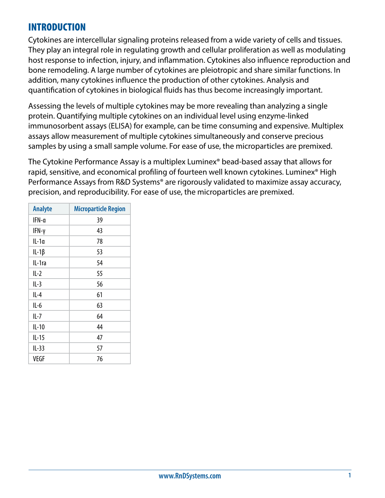#### <span id="page-2-0"></span>INTRODUCTION

Cytokines are intercellular signaling proteins released from a wide variety of cells and tissues. They play an integral role in regulating growth and cellular proliferation as well as modulating host response to infection, injury, and inflammation. Cytokines also influence reproduction and bone remodeling. A large number of cytokines are pleiotropic and share similar functions. In addition, many cytokines influence the production of other cytokines. Analysis and quantification of cytokines in biological fluids has thus become increasingly important.

Assessing the levels of multiple cytokines may be more revealing than analyzing a single protein. Quantifying multiple cytokines on an individual level using enzyme-linked immunosorbent assays (ELISA) for example, can be time consuming and expensive. Multiplex assays allow measurement of multiple cytokines simultaneously and conserve precious samples by using a small sample volume. For ease of use, the microparticles are premixed.

The Cytokine Performance Assay is a multiplex Luminex® bead-based assay that allows for rapid, sensitive, and economical profiling of fourteen well known cytokines. Luminex® High Performance Assays from R&D Systems® are rigorously validated to maximize assay accuracy, precision, and reproducibility. For ease of use, the microparticles are premixed.

| <b>Analyte</b> | <b>Microparticle Region</b> |
|----------------|-----------------------------|
| IFN-α          | 39                          |
| $IFN-\gamma$   | 43                          |
| $IL-1a$        | 78                          |
| IL-1β          | 53                          |
| IL-1ra         | 54                          |
| $IL-2$         | 55                          |
| $IL-3$         | 56                          |
| $IL-4$         | 61                          |
| $IL-6$         | 63                          |
| $IL-7$         | 64                          |
| $IL-10$        | 44                          |
| $IL-15$        | 47                          |
| $IL-33$        | 57                          |
| VEGF           | 76                          |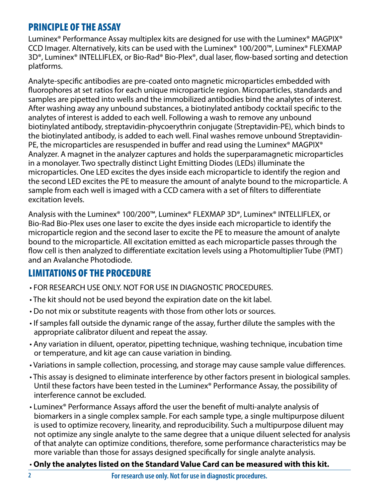#### <span id="page-3-0"></span>PRINCIPLE OF THE ASSAY

Luminex® Performance Assay multiplex kits are designed for use with the Luminex® MAGPIX® CCD Imager. Alternatively, kits can be used with the Luminex® 100/200™, Luminex® FLEXMAP 3D®, Luminex® INTELLIFLEX, or Bio-Rad® Bio-Plex®, dual laser, flow-based sorting and detection platforms.

Analyte-specific antibodies are pre-coated onto magnetic microparticles embedded with fluorophores at set ratios for each unique microparticle region. Microparticles, standards and samples are pipetted into wells and the immobilized antibodies bind the analytes of interest. After washing away any unbound substances, a biotinylated antibody cocktail specific to the analytes of interest is added to each well. Following a wash to remove any unbound biotinylated antibody, streptavidin-phycoerythrin conjugate (Streptavidin-PE), which binds to the biotinylated antibody, is added to each well. Final washes remove unbound Streptavidin-PE, the microparticles are resuspended in buffer and read using the Luminex® MAGPIX® Analyzer. A magnet in the analyzer captures and holds the superparamagnetic microparticles in a monolayer. Two spectrally distinct Light Emitting Diodes (LEDs) illuminate the microparticles. One LED excites the dyes inside each microparticle to identify the region and the second LED excites the PE to measure the amount of analyte bound to the microparticle. A sample from each well is imaged with a CCD camera with a set of filters to differentiate excitation levels.

Analysis with the Luminex® 100/200™, Luminex® FLEXMAP 3D®, Luminex® INTELLIFLEX, or Bio-Rad Bio-Plex uses one laser to excite the dyes inside each microparticle to identify the microparticle region and the second laser to excite the PE to measure the amount of analyte bound to the microparticle. All excitation emitted as each microparticle passes through the flow cell is then analyzed to differentiate excitation levels using a Photomultiplier Tube (PMT) and an Avalanche Photodiode.

## LIMITATIONS OF THE PROCEDURE

- FOR RESEARCH USE ONLY. NOT FOR USE IN DIAGNOSTIC PROCEDURES.
- The kit should not be used beyond the expiration date on the kit label.
- Do not mix or substitute reagents with those from other lots or sources.
- If samples fall outside the dynamic range of the assay, further dilute the samples with the appropriate calibrator diluent and repeat the assay.
- Any variation in diluent, operator, pipetting technique, washing technique, incubation time or temperature, and kit age can cause variation in binding.
- Variations in sample collection, processing, and storage may cause sample value differences.
- This assay is designed to eliminate interference by other factors present in biological samples. Until these factors have been tested in the Luminex® Performance Assay, the possibility of interference cannot be excluded.
- Luminex® Performance Assays afford the user the benefit of multi-analyte analysis of biomarkers in a single complex sample. For each sample type, a single multipurpose diluent is used to optimize recovery, linearity, and reproducibility. Such a multipurpose diluent may not optimize any single analyte to the same degree that a unique diluent selected for analysis of that analyte can optimize conditions, therefore, some performance characteristics may be more variable than those for assays designed specifically for single analyte analysis.

#### • **Only the analytes listed on the Standard Value Card can be measured with this kit.**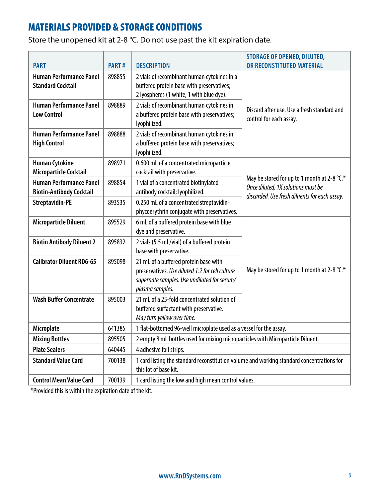## <span id="page-4-0"></span>MATERIALS PROVIDED & STORAGE CONDITIONS

Store the unopened kit at 2-8 °C. Do not use past the kit expiration date.

|                                                                   |        |                                                                                                                                                            | <b>STORAGE OF OPENED, DILUTED,</b>                                                                                                 |  |
|-------------------------------------------------------------------|--------|------------------------------------------------------------------------------------------------------------------------------------------------------------|------------------------------------------------------------------------------------------------------------------------------------|--|
| <b>PART</b>                                                       | PART#  | <b>DESCRIPTION</b>                                                                                                                                         | OR RECONSTITUTED MATERIAL                                                                                                          |  |
| <b>Human Performance Panel</b><br><b>Standard Cocktail</b>        | 898855 | 2 vials of recombinant human cytokines in a<br>buffered protein base with preservatives;<br>2 lyospheres (1 white, 1 with blue dye).                       |                                                                                                                                    |  |
| <b>Human Performance Panel</b><br><b>Low Control</b>              | 898889 | 2 vials of recombinant human cytokines in<br>a buffered protein base with preservatives;<br>lyophilized.                                                   | Discard after use. Use a fresh standard and<br>control for each assay.                                                             |  |
| <b>Human Performance Panel</b><br><b>High Control</b>             | 898888 | 2 vials of recombinant human cytokines in<br>a buffered protein base with preservatives;<br>lyophilized.                                                   |                                                                                                                                    |  |
| <b>Human Cytokine</b><br>Microparticle Cocktail                   | 898971 | 0.600 mL of a concentrated microparticle<br>cocktail with preservative.                                                                                    |                                                                                                                                    |  |
| <b>Human Performance Panel</b><br><b>Biotin-Antibody Cocktail</b> | 898854 | 1 vial of a concentrated biotinylated<br>antibody cocktail; lyophilized.                                                                                   | May be stored for up to 1 month at 2-8 °C.*<br>Once diluted, 1X solutions must be<br>discarded. Use fresh diluents for each assay. |  |
| <b>Streptavidin-PE</b>                                            | 893535 | 0.250 mL of a concentrated streptavidin-<br>phycoerythrin conjugate with preservatives.                                                                    |                                                                                                                                    |  |
| <b>Microparticle Diluent</b>                                      | 895529 | 6 mL of a buffered protein base with blue<br>dye and preservative.                                                                                         |                                                                                                                                    |  |
| <b>Biotin Antibody Diluent 2</b>                                  | 895832 | 2 vials (5.5 mL/vial) of a buffered protein<br>base with preservative.                                                                                     |                                                                                                                                    |  |
| <b>Calibrator Diluent RD6-65</b>                                  | 895098 | 21 mL of a buffered protein base with<br>preservatives. Use diluted 1:2 for cell culture<br>supernate samples. Use undiluted for serum/<br>plasma samples. | May be stored for up to 1 month at 2-8 °C.*                                                                                        |  |
| <b>Wash Buffer Concentrate</b>                                    | 895003 | 21 mL of a 25-fold concentrated solution of<br>buffered surfactant with preservative.<br>May turn yellow over time.                                        |                                                                                                                                    |  |
| Microplate                                                        | 641385 | 1 flat-bottomed 96-well microplate used as a vessel for the assay.                                                                                         |                                                                                                                                    |  |
| <b>Mixing Bottles</b>                                             | 895505 | 2 empty 8 mL bottles used for mixing microparticles with Microparticle Diluent.                                                                            |                                                                                                                                    |  |
| <b>Plate Sealers</b>                                              | 640445 | 4 adhesive foil strips.                                                                                                                                    |                                                                                                                                    |  |
| <b>Standard Value Card</b>                                        | 700138 | 1 card listing the standard reconstitution volume and working standard concentrations for<br>this lot of base kit.                                         |                                                                                                                                    |  |
| <b>Control Mean Value Card</b>                                    | 700139 | 1 card listing the low and high mean control values.                                                                                                       |                                                                                                                                    |  |

\*Provided this is within the expiration date of the kit.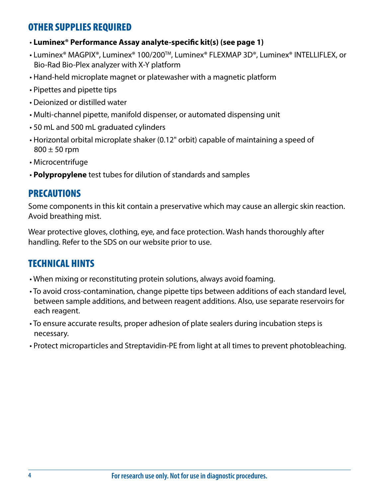## <span id="page-5-0"></span>OTHER SUPPLIES REQUIRED

- **Luminex® Performance Assay analyte-specific kit(s) (see page 1)**
- Luminex® MAGPIX®, Luminex® 100/200TM, Luminex® FLEXMAP 3D®, Luminex® INTELLIFLEX, or Bio-Rad Bio-Plex analyzer with X-Y platform
- Hand-held microplate magnet or platewasher with a magnetic platform
- Pipettes and pipette tips
- Deionized or distilled water
- Multi-channel pipette, manifold dispenser, or automated dispensing unit
- 50 mL and 500 mL graduated cylinders
- Horizontal orbital microplate shaker (0.12" orbit) capable of maintaining a speed of  $800 \pm 50$  rpm
- Microcentrifuge
- **Polypropylene** test tubes for dilution of standards and samples

## PRECAUTIONS

Some components in this kit contain a preservative which may cause an allergic skin reaction. Avoid breathing mist.

Wear protective gloves, clothing, eye, and face protection. Wash hands thoroughly after handling. Refer to the SDS on our website prior to use.

## TECHNICAL HINTS

- When mixing or reconstituting protein solutions, always avoid foaming.
- To avoid cross-contamination, change pipette tips between additions of each standard level, between sample additions, and between reagent additions. Also, use separate reservoirs for each reagent.
- To ensure accurate results, proper adhesion of plate sealers during incubation steps is necessary.
- Protect microparticles and Streptavidin-PE from light at all times to prevent photobleaching.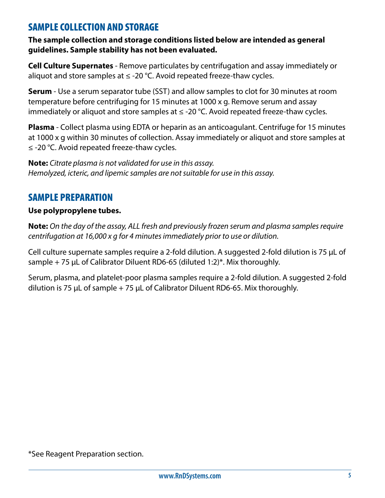#### <span id="page-6-0"></span>SAMPLE COLLECTION AND STORAGE

**The sample collection and storage conditions listed below are intended as general guidelines. Sample stability has not been evaluated.**

**Cell Culture Supernates** - Remove particulates by centrifugation and assay immediately or aliquot and store samples at  $\leq$  -20 °C. Avoid repeated freeze-thaw cycles.

**Serum** - Use a serum separator tube (SST) and allow samples to clot for 30 minutes at room temperature before centrifuging for 15 minutes at 1000 x g. Remove serum and assay immediately or aliquot and store samples at  $\leq$  -20 °C. Avoid repeated freeze-thaw cycles.

**Plasma** - Collect plasma using EDTA or heparin as an anticoagulant. Centrifuge for 15 minutes at 1000 x g within 30 minutes of collection. Assay immediately or aliquot and store samples at ≤ -20 °C. Avoid repeated freeze-thaw cycles.

**Note:** *Citrate plasma is not validated for use in this assay. Hemolyzed, icteric, and lipemic samples are not suitable for use in this assay.*

#### SAMPLE PREPARATION

#### **Use polypropylene tubes.**

**Note:** *On the day of the assay, ALL fresh and previously frozen serum and plasma samples require centrifugation at 16,000 x g for 4 minutes immediately prior to use or dilution.*

Cell culture supernate samples require a 2-fold dilution. A suggested 2-fold dilution is 75 μL of sample  $+75$  µL of Calibrator Diluent RD6-65 (diluted 1:2)\*. Mix thoroughly.

Serum, plasma, and platelet-poor plasma samples require a 2-fold dilution. A suggested 2-fold dilution is 75 μL of sample  $+75$  μL of Calibrator Diluent RD6-65. Mix thoroughly.

\*See Reagent Preparation section.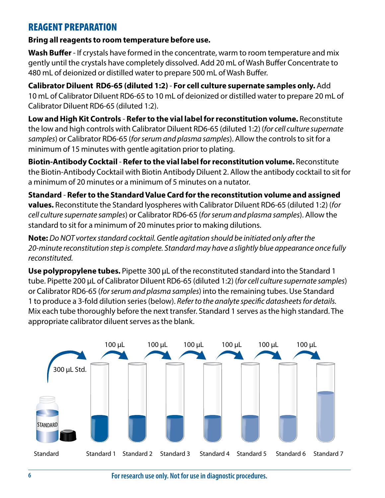## <span id="page-7-0"></span>REAGENT PREPARATION

#### **Bring all reagents to room temperature before use.**

**Wash Buffer** - If crystals have formed in the concentrate, warm to room temperature and mix gently until the crystals have completely dissolved. Add 20 mL of Wash Buffer Concentrate to 480 mL of deionized or distilled water to prepare 500 mL of Wash Buffer.

**Calibrator Diluent RD6-65 (diluted 1:2)** - **For cell culture supernate samples only.** Add 10 mL of Calibrator Diluent RD6-65 to 10 mL of deionized or distilled water to prepare 20 mL of Calibrator Diluent RD6-65 (diluted 1:2).

**Low and High Kit Controls** - **Refer to the vial label for reconstitution volume.** Reconstitute the low and high controls with Calibrator Diluent RD6-65 (diluted 1:2) (*for cell culture supernate samples*) or Calibrator RD6-65 (*for serum and plasma samples*). Allow the controls to sit for a minimum of 15 minutes with gentle agitation prior to plating.

**Biotin-Antibody Cocktail** - **Refer to the vial label for reconstitution volume.** Reconstitute the Biotin-Antibody Cocktail with Biotin Antibody Diluent 2. Allow the antibody cocktail to sit for a minimum of 20 minutes or a minimum of 5 minutes on a nutator.

**Standard** - **Refer to the Standard Value Card for the reconstitution volume and assigned values.** Reconstitute the Standard lyospheres with Calibrator Diluent RD6-65 (diluted 1:2) (*for cell culture supernate samples*) or Calibrator RD6-65 (*for serum and plasma samples*). Allow the standard to sit for a minimum of 20 minutes prior to making dilutions.

**Note:** *Do NOT vortex standard cocktail. Gentle agitation should be initiated only after the 20-minute reconstitution step is complete. Standard may have a slightly blue appearance once fully reconstituted.*

**Use polypropylene tubes.** Pipette 300 μL of the reconstituted standard into the Standard 1 tube. Pipette 200 μL of Calibrator Diluent RD6-65 (diluted 1:2) (*for cell culture supernate samples*) or Calibrator RD6-65 (*for serum and plasma samples*) into the remaining tubes. Use Standard 1 to produce a 3-fold dilution series (below). *Refer to the analyte specific datasheets for details.* Mix each tube thoroughly before the next transfer. Standard 1 serves as the high standard. The appropriate calibrator diluent serves as the blank.

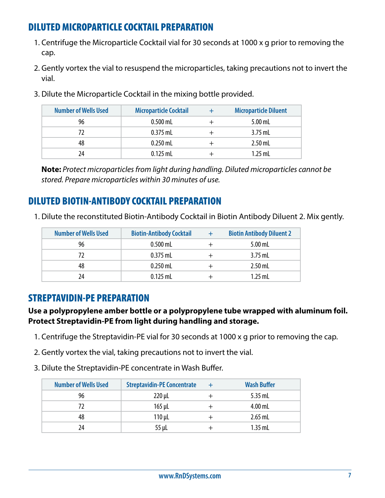## <span id="page-8-0"></span>DILUTED MICROPARTICLE COCKTAIL PREPARATION

- 1. Centrifuge the Microparticle Cocktail vial for 30 seconds at 1000 x g prior to removing the cap.
- 2. Gently vortex the vial to resuspend the microparticles, taking precautions not to invert the vial.

| <b>Number of Wells Used</b> | <b>Microparticle Cocktail</b> | <b>Microparticle Diluent</b> |
|-----------------------------|-------------------------------|------------------------------|
| 96                          | $0.500$ mL                    | 5.00 mL                      |
|                             | $0.375$ mL                    | 3.75 mL                      |
| 48                          | $0.250$ mL                    | $2.50$ mL                    |
|                             | $0.125$ mL                    | $1.25$ mL                    |

3. Dilute the Microparticle Cocktail in the mixing bottle provided.

**Note:** *Protect microparticles from light during handling. Diluted microparticles cannot be stored. Prepare microparticles within 30 minutes of use.*

## DILUTED BIOTIN-ANTIBODY COCKTAIL PREPARATION

1. Dilute the reconstituted Biotin-Antibody Cocktail in Biotin Antibody Diluent 2. Mix gently.

| <b>Number of Wells Used</b> | <b>Biotin-Antibody Cocktail</b> | $+$ | <b>Biotin Antibody Diluent 2</b> |
|-----------------------------|---------------------------------|-----|----------------------------------|
| 96                          | $0.500$ mL                      |     | 5.00 mL                          |
|                             | $0.375$ mL                      |     | 3.75 mL                          |
| 48                          | $0.250$ mL                      |     | $2.50$ mL                        |
| 74                          | $0.125$ mL                      |     | $1.25$ mL                        |

#### STREPTAVIDIN-PE PREPARATION

#### **Use a polypropylene amber bottle or a polypropylene tube wrapped with aluminum foil. Protect Streptavidin-PE from light during handling and storage.**

- 1. Centrifuge the Streptavidin-PE vial for 30 seconds at 1000 x g prior to removing the cap.
- 2. Gently vortex the vial, taking precautions not to invert the vial.
- 3. Dilute the Streptavidin-PE concentrate in Wash Buffer.

| <b>Number of Wells Used</b> | <b>Streptavidin-PE Concentrate</b> | $+$ | <b>Wash Buffer</b> |
|-----------------------------|------------------------------------|-----|--------------------|
| 96                          | $220 \mu L$                        |     | 5.35 mL            |
| 72                          | $165$ µL                           |     | 4.00 mL            |
| 48                          | $110$ µL                           |     | $2.65$ mL          |
| 74                          | $55$ µL                            |     | $1.35$ mL          |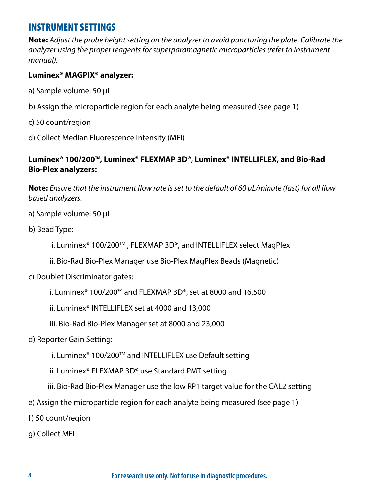#### <span id="page-9-0"></span>INSTRUMENT SETTINGS

**Note:** *Adjust the probe height setting on the analyzer to avoid puncturing the plate. Calibrate the analyzer using the proper reagents for superparamagnetic microparticles (refer to instrument manual).*

#### **Luminex® MAGPIX® analyzer:**

- a) Sample volume: 50 μL
- b) Assign the microparticle region for each analyte being measured (see page 1)
- c) 50 count/region
- d) Collect Median Fluorescence Intensity (MFI)

#### **Luminex® 100/200**™**, Luminex® FLEXMAP 3D®, Luminex® INTELLIFLEX, and Bio-Rad Bio-Plex analyzers:**

**Note:** *Ensure that the instrument flow rate is set to the default of 60 μL/minute (fast) for all flow based analyzers.*

- a) Sample volume: 50 μL
- b) Bead Type:

i. Luminex® 100/200TM , FLEXMAP 3D®, and INTELLIFLEX select MagPlex

- ii. Bio-Rad Bio-Plex Manager use Bio-Plex MagPlex Beads (Magnetic)
- c) Doublet Discriminator gates:

i. Luminex® 100/200™ and FLEXMAP 3D®, set at 8000 and 16,500

ii. Luminex® INTELLIFLEX set at 4000 and 13,000

iii. Bio-Rad Bio-Plex Manager set at 8000 and 23,000

- d) Reporter Gain Setting:
	- i. Luminex® 100/200TM and INTELLIFLEX use Default setting
	- ii. Luminex® FLEXMAP 3D® use Standard PMT setting
	- iii. Bio-Rad Bio-Plex Manager use the low RP1 target value for the CAL2 setting
- e) Assign the microparticle region for each analyte being measured (see page 1)
- f) 50 count/region
- g) Collect MFI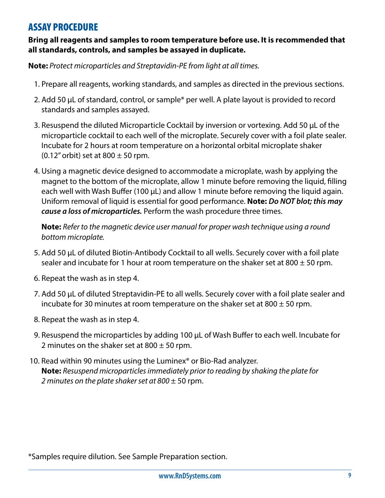#### <span id="page-10-0"></span>ASSAY PROCEDURE

#### **Bring all reagents and samples to room temperature before use. It is recommended that all standards, controls, and samples be assayed in duplicate.**

**Note:** *Protect microparticles and Streptavidin-PE from light at all times.*

- 1. Prepare all reagents, working standards, and samples as directed in the previous sections.
- 2. Add 50 μL of standard, control, or sample\* per well. A plate layout is provided to record standards and samples assayed.
- 3. Resuspend the diluted Microparticle Cocktail by inversion or vortexing. Add 50 μL of the microparticle cocktail to each well of the microplate. Securely cover with a foil plate sealer. Incubate for 2 hours at room temperature on a horizontal orbital microplate shaker  $(0.12'' \text{ orbit})$  set at 800  $\pm$  50 rpm.
- 4. Using a magnetic device designed to accommodate a microplate, wash by applying the magnet to the bottom of the microplate, allow 1 minute before removing the liquid, filling each well with Wash Buffer (100 μL) and allow 1 minute before removing the liquid again. Uniform removal of liquid is essential for good performance. **Note:** *Do NOT blot; this may cause a loss of microparticles.* Perform the wash procedure three times.

**Note:** *Refer to the magnetic device user manual for proper wash technique using a round bottom microplate.*

- 5. Add 50 μL of diluted Biotin-Antibody Cocktail to all wells. Securely cover with a foil plate sealer and incubate for 1 hour at room temperature on the shaker set at 800  $\pm$  50 rpm.
- 6. Repeat the wash as in step 4.
- 7. Add 50 μL of diluted Streptavidin-PE to all wells. Securely cover with a foil plate sealer and incubate for 30 minutes at room temperature on the shaker set at 800  $\pm$  50 rpm.
- 8. Repeat the wash as in step 4.
- 9. Resuspend the microparticles by adding 100 μL of Wash Buffer to each well. Incubate for 2 minutes on the shaker set at  $800 \pm 50$  rpm.
- 10. Read within 90 minutes using the Luminex® or Bio-Rad analyzer. **Note:** *Resuspend microparticles immediately prior to reading by shaking the plate for 2 minutes on the plate shaker set at 800* ± 50 rpm.

<sup>\*</sup>Samples require dilution. See Sample Preparation section.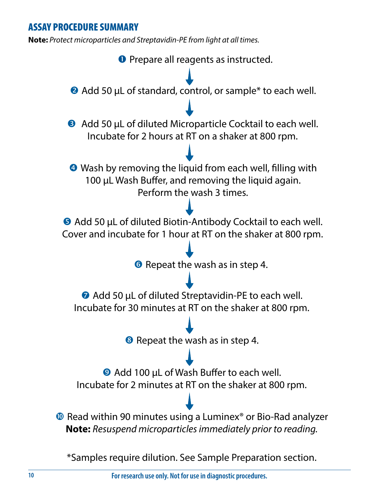#### <span id="page-11-0"></span>ASSAY PROCEDURE SUMMARY

**Note:** *Protect microparticles and Streptavidin-PE from light at all times.*



\*Samples require dilution. See Sample Preparation section.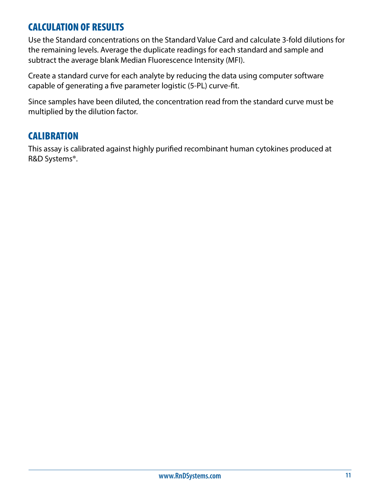## <span id="page-12-0"></span>CALCULATION OF RESULTS

Use the Standard concentrations on the Standard Value Card and calculate 3-fold dilutions for the remaining levels. Average the duplicate readings for each standard and sample and subtract the average blank Median Fluorescence Intensity (MFI).

Create a standard curve for each analyte by reducing the data using computer software capable of generating a five parameter logistic (5-PL) curve-fit.

Since samples have been diluted, the concentration read from the standard curve must be multiplied by the dilution factor.

#### **CALIBRATION**

This assay is calibrated against highly purified recombinant human cytokines produced at R&D Systems®.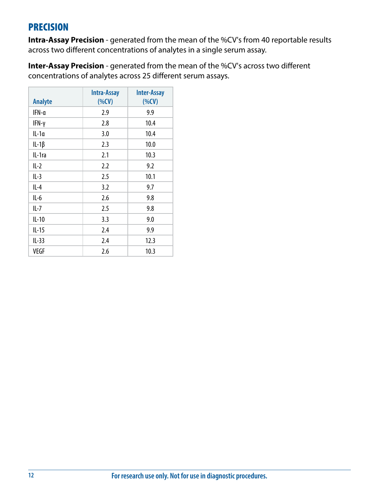#### <span id="page-13-0"></span>PRECISION

**Intra-Assay Precision** - generated from the mean of the %CV's from 40 reportable results across two different concentrations of analytes in a single serum assay.

**Inter-Assay Precision** - generated from the mean of the %CV's across two different concentrations of analytes across 25 different serum assays.

|                | <b>Intra-Assay</b> | <b>Inter-Assay</b> |
|----------------|--------------------|--------------------|
| <b>Analyte</b> | (%                 | $(\%CV)$           |
| $IFN-\alpha$   | 2.9                | 9.9                |
| $IFN-\gamma$   | 2.8                | 10.4               |
| $IL-1a$        | 3.0                | 10.4               |
| $IL-1\beta$    | 2.3                | 10.0               |
| IL-1ra         | 2.1                | 10.3               |
| $IL-2$         | 2.2                | 9.2                |
| $IL-3$         | 2.5                | 10.1               |
| $IL-4$         | 3.2                | 9.7                |
| $IL-6$         | 2.6                | 9.8                |
| $IL-7$         | 2.5                | 9.8                |
| $IL-10$        | 3.3                | 9.0                |
| $IL-15$        | 2.4                | 9.9                |
| $IL-33$        | 2.4                | 12.3               |
| VEGF           | 2.6                | 10.3               |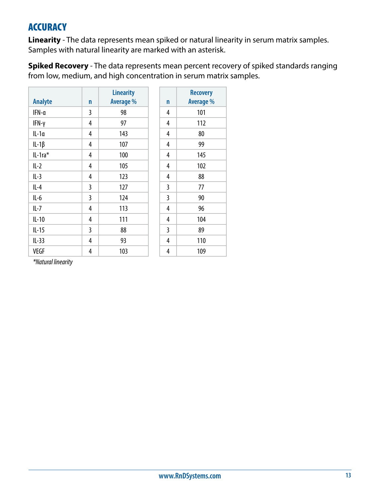## <span id="page-14-0"></span>**ACCURACY**

**Linearity** - The data represents mean spiked or natural linearity in serum matrix samples. Samples with natural linearity are marked with an asterisk.

**Spiked Recovery** - The data represents mean percent recovery of spiked standards ranging from low, medium, and high concentration in serum matrix samples.

|                |                | <b>Linearity</b> |                | <b>Recovery</b>  |
|----------------|----------------|------------------|----------------|------------------|
| <b>Analyte</b> | n              | Average %        | $\mathsf{n}$   | <b>Average %</b> |
| IFN-α          | $\overline{3}$ | 98               | 4              | 101              |
| IFN-γ          | 4              | 97               | 4              | 112              |
| $IL-1a$        | 4              | 143              | 4              | 80               |
| $IL-1\beta$    | 4              | 107              | 4              | 99               |
| IL-1ra*        | 4              | 100              | 4              | 145              |
| $IL-2$         | 4              | 105              | 4              | 102              |
| $IL-3$         | $\overline{4}$ | 123              | 4              | 88               |
| $IL-4$         | $\overline{3}$ | 127              | 3              | 77               |
| $IL-6$         | 3              | 124              | $\overline{3}$ | 90               |
| $IL-7$         | 4              | 113              | 4              | 96               |
| $IL-10$        | $\overline{4}$ | 111              | 4              | 104              |
| $IL-15$        | 3              | 88               | $\overline{3}$ | 89               |
| $IL-33$        | 4              | 93               | 4              | 110              |
| <b>VEGF</b>    | 4              | 103              | 4              | 109              |

*\*Natural linearity*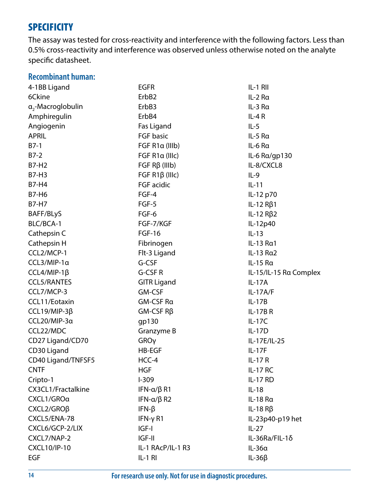## <span id="page-15-0"></span>**SPECIFICITY**

The assay was tested for cross-reactivity and interference with the following factors. Less than 0.5% cross-reactivity and interference was observed unless otherwise noted on the analyte specific datasheet.

| <b>EGFR</b>                | IL-1 RII               |
|----------------------------|------------------------|
| ErbB <sub>2</sub>          | $IL-2 Ra$              |
| ErbB3                      | $IL-3 Ra$              |
| ErbB4                      | $IL-4R$                |
| Fas Ligand                 | $IL-5$                 |
| <b>FGF</b> basic           | $IL-5 Ra$              |
| $FGF R1\alpha$ (IIIb)      | $IL-6 Ra$              |
| FGF $R1\alpha$ (Illc)      | IL-6 Ra/gp130          |
| $FGF R\beta$ (IIIb)        | IL-8/CXCL8             |
| $FGF R1\beta$ (IIIc)       | $IL-9$                 |
| FGF acidic                 | $IL-11$                |
| FGF-4                      | IL-12 p70              |
| FGF-5                      | IL-12 $R\beta$ 1       |
| FGF-6                      | IL-12 $R\beta$ 2       |
| FGF-7/KGF                  | IL-12p40               |
| <b>FGF-16</b>              | $IL-13$                |
| Fibrinogen                 | IL-13 Rα1              |
| Flt-3 Ligand               | IL-13 $Ra2$            |
| G-CSF                      | $IL-15 Ra$             |
| G-CSF R                    | IL-15/IL-15 Ra Complex |
| <b>GITR Ligand</b>         | $IL-17A$               |
| <b>GM-CSF</b>              | $IL-17A/F$             |
| GM-CSF Ra                  | $IL-17B$               |
| $GM$ -CSF R $\beta$        | <b>IL-17BR</b>         |
| gp130                      | $IL-17C$               |
| Granzyme B                 | $IL-17D$               |
| <b>GROY</b>                | IL-17E/IL-25           |
| <b>HB-EGF</b>              | $IL-17F$               |
| HCC-4                      | $IL-17R$               |
| <b>HGF</b>                 | <b>IL-17 RC</b>        |
| $I-309$                    | <b>IL-17 RD</b>        |
| IFN- $\alpha$ / $\beta$ R1 | $IL-18$                |
| IFN- $\alpha$ / $\beta$ R2 | $IL-18 Ra$             |
| IFN- $\beta$               | IL-18 $R\beta$         |
| IFN- $\gamma$ R1           | IL-23p40-p19 het       |
| $IGF-I$                    | $IL-27$                |
| IGF-II                     | IL-36Ra/FIL-1 $\delta$ |
| IL-1 RAcP/IL-1 R3          | $IL-36a$               |
| $IL-1 RI$                  | IL-36 $\beta$          |
|                            |                        |

**14 For research use only. Not for use in diagnostic procedures.**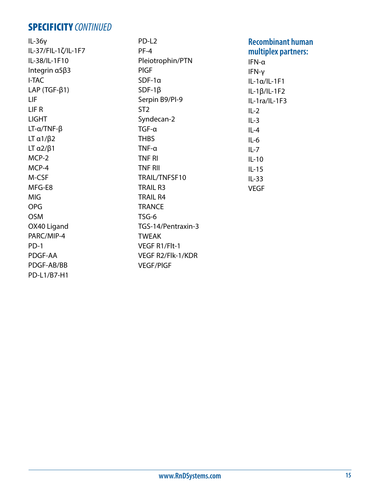## SPECIFICITY *CONTINUED*

| $IL-36y$                      | PD-L <sub>2</sub>  | <b>Recombinant human</b> |
|-------------------------------|--------------------|--------------------------|
| $IL-37/FIL-1\zeta/IL-1F7$     | $PF-4$             | multiplex partners:      |
| IL-38/IL-1F10                 | Pleiotrophin/PTN   | $IFN-\alpha$             |
| Integrin $\alpha$ 5 $\beta$ 3 | <b>PIGF</b>        | $IFN-\gamma$             |
| <b>I-TAC</b>                  | $SDF-1\alpha$      | $IL-1\alpha/IL-1F1$      |
| LAP (TGF- $\beta$ 1)          | $SDF-1\beta$       | $IL-1\beta/IL-1F2$       |
| <b>LIF</b>                    | Serpin B9/PI-9     | IL-1ra/IL-1F3            |
| LIF <sub>R</sub>              | ST <sub>2</sub>    | $IL-2$                   |
| <b>LIGHT</b>                  | Syndecan-2         | $IL-3$                   |
| $LT-\alpha/TNF-\beta$         | $TGF-\alpha$       | $IL-4$                   |
| LT α1/β2                      | <b>THBS</b>        | $IL-6$                   |
| LT $\alpha$ 2/ $\beta$ 1      | $TNF-\alpha$       | $IL-7$                   |
| MCP-2                         | <b>TNF RI</b>      | $IL-10$                  |
| MCP-4                         | <b>TNF RII</b>     | $IL-15$                  |
| M-CSF                         | TRAIL/TNFSF10      | $IL-33$                  |
| MFG-E8                        | <b>TRAIL R3</b>    | <b>VEGF</b>              |
| <b>MIG</b>                    | <b>TRAIL R4</b>    |                          |
| <b>OPG</b>                    | <b>TRANCE</b>      |                          |
| <b>OSM</b>                    | TSG-6              |                          |
| OX40 Ligand                   | TGS-14/Pentraxin-3 |                          |
| PARC/MIP-4                    | <b>TWEAK</b>       |                          |
| $PD-1$                        | VEGF R1/Flt-1      |                          |
| PDGF-AA                       | VEGF R2/Flk-1/KDR  |                          |
| PDGF-AB/BB                    | <b>VEGF/PIGF</b>   |                          |

PD-L1/B7-H1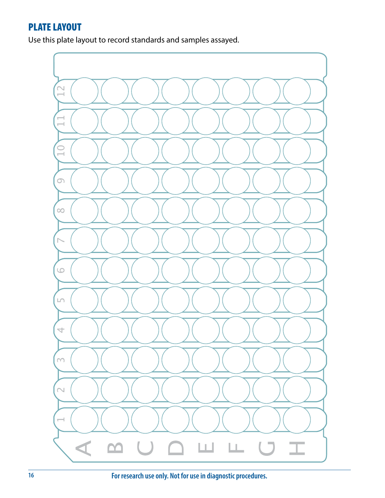#### <span id="page-17-0"></span>PLATE LAYOUT

Use this plate layout to record standards and samples assayed.

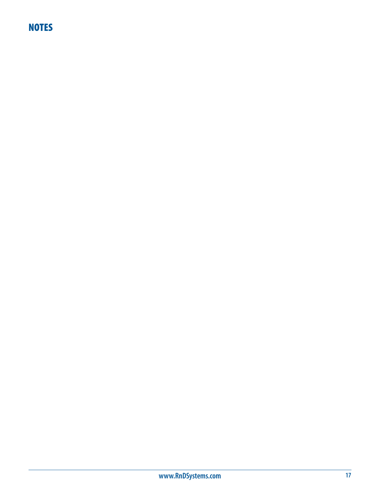## NOTES